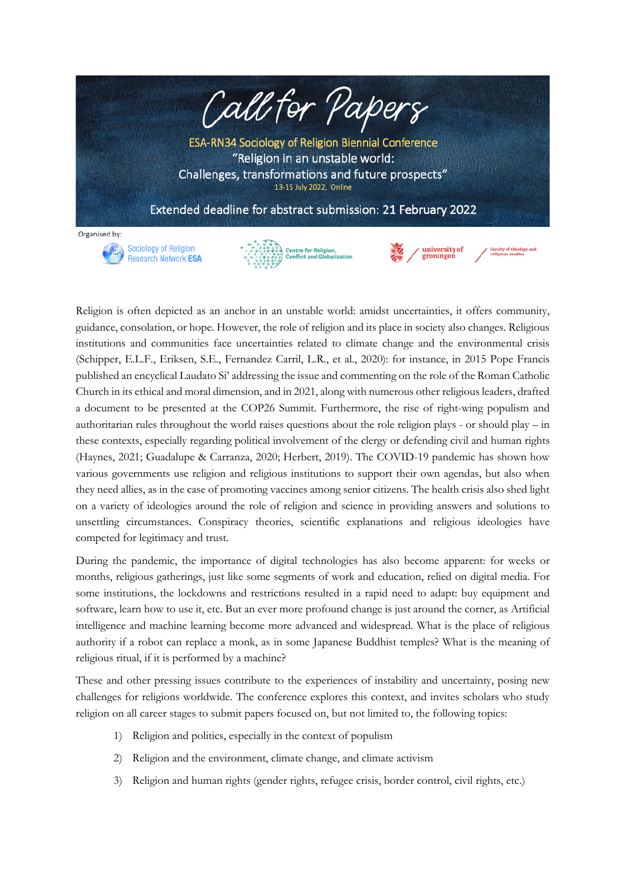Call for Papers ESA-RN34 Sociology of Religion Biennial Conference "Religion in an unstable world: Challenges, transformations and future prospects" 13-15 July 2022, Online

Extended deadline for abstract submission: 21 February 2022

university of

groningen

ity of theo

Organised by:

Sociology of Religion Research Network ESA



Religion is often depicted as an anchor in an unstable world: amidst uncertainties, it offers community, guidance, consolation, or hope. However, the role of religion and its place in society also changes. Religious institutions and communities face uncertainties related to climate change and the environmental crisis (Schipper, E.L.F., Eriksen, S.E., Fernandez Carril, L.R., et al., 2020): for instance, in 2015 Pope Francis published an encyclical Laudato Si' addressing the issue and commenting on the role of the Roman Catholic Church in its ethical and moral dimension, and in 2021, along with numerous other religious leaders, drafted a document to be presented at the COP26 Summit. Furthermore, the rise of right-wing populism and authoritarian rules throughout the world raises questions about the role religion plays - or should play – in these contexts, especially regarding political involvement of the clergy or defending civil and human rights (Haynes, 2021; Guadalupe & Carranza, 2020; Herbert, 2019). The COVID-19 pandemic has shown how various governments use religion and religious institutions to support their own agendas, but also when they need allies, as in the case of promoting vaccines among senior citizens. The health crisis also shed light on a variety of ideologies around the role of religion and science in providing answers and solutions to unsettling circumstances. Conspiracy theories, scientific explanations and religious ideologies have competed for legitimacy and trust.

During the pandemic, the importance of digital technologies has also become apparent: for weeks or months, religious gatherings, just like some segments of work and education, relied on digital media. For some institutions, the lockdowns and restrictions resulted in a rapid need to adapt: buy equipment and software, learn how to use it, etc. But an ever more profound change is just around the corner, as Artificial intelligence and machine learning become more advanced and widespread. What is the place of religious authority if a robot can replace a monk, as in some Japanese Buddhist temples? What is the meaning of religious ritual, if it is performed by a machine?

These and other pressing issues contribute to the experiences of instability and uncertainty, posing new challenges for religions worldwide. The conference explores this context, and invites scholars who study religion on all career stages to submit papers focused on, but not limited to, the following topics:

- 1) Religion and politics, especially in the context of populism
- 2) Religion and the environment, climate change, and climate activism
- 3) Religion and human rights (gender rights, refugee crisis, border control, civil rights, etc.)